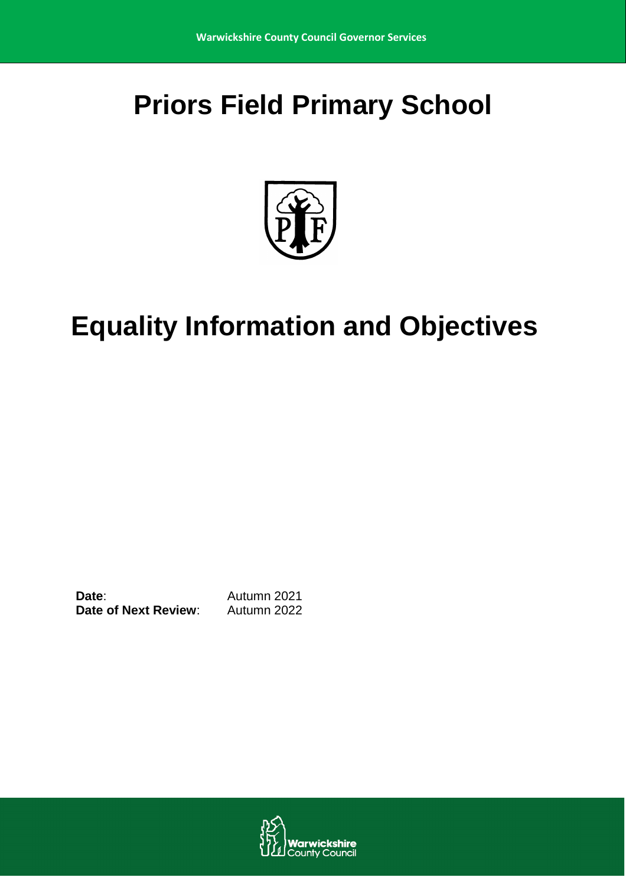# **Priors Field Primary School**



# **Equality Information and Objectives**

**Date:** Autumn 2021 **Date of Next Review:** Autumn 2022

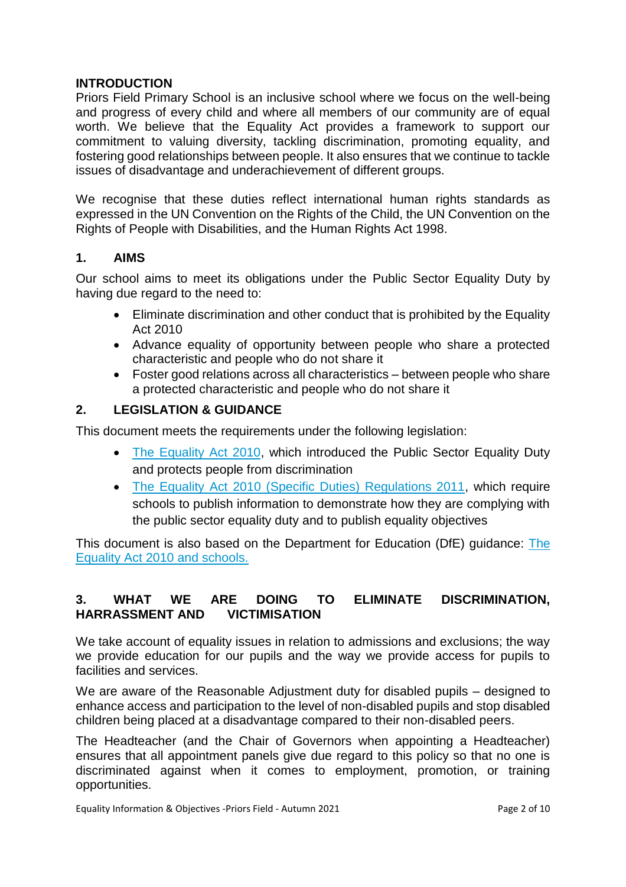## **INTRODUCTION**

Priors Field Primary School is an inclusive school where we focus on the well-being and progress of every child and where all members of our community are of equal worth. We believe that the Equality Act provides a framework to support our commitment to valuing diversity, tackling discrimination, promoting equality, and fostering good relationships between people. It also ensures that we continue to tackle issues of disadvantage and underachievement of different groups.

We recognise that these duties reflect international human rights standards as expressed in the UN Convention on the Rights of the Child, the UN Convention on the Rights of People with Disabilities, and the Human Rights Act 1998.

## **1. AIMS**

Our school aims to meet its obligations under the Public Sector Equality Duty by having due regard to the need to:

- Eliminate discrimination and other conduct that is prohibited by the Equality Act 2010
- Advance equality of opportunity between people who share a protected characteristic and people who do not share it
- Foster good relations across all characteristics between people who share a protected characteristic and people who do not share it

## **2. LEGISLATION & GUIDANCE**

This document meets the requirements under the following legislation:

- [The Equality Act 2010,](http://www.legislation.gov.uk/ukpga/2010/15/contents) which introduced the Public Sector Equality Duty and protects people from discrimination
- [The Equality Act 2010 \(Specific Duties\) Regulations 2011,](http://www.legislation.gov.uk/uksi/2011/2260/contents/made) which require schools to publish information to demonstrate how they are complying with the public sector equality duty and to publish equality objectives

This document is also based on the Department for Education (DfE) guidance: The [Equality Act 2010 and schools.](https://www.gov.uk/government/uploads/system/uploads/attachment_data/file/315587/Equality_Act_Advice_Final.pdf) 

## **3. WHAT WE ARE DOING TO ELIMINATE DISCRIMINATION, HARRASSMENT AND VICTIMISATION**

We take account of equality issues in relation to admissions and exclusions; the way we provide education for our pupils and the way we provide access for pupils to facilities and services.

We are aware of the Reasonable Adjustment duty for disabled pupils – designed to enhance access and participation to the level of non-disabled pupils and stop disabled children being placed at a disadvantage compared to their non-disabled peers.

The Headteacher (and the Chair of Governors when appointing a Headteacher) ensures that all appointment panels give due regard to this policy so that no one is discriminated against when it comes to employment, promotion, or training opportunities.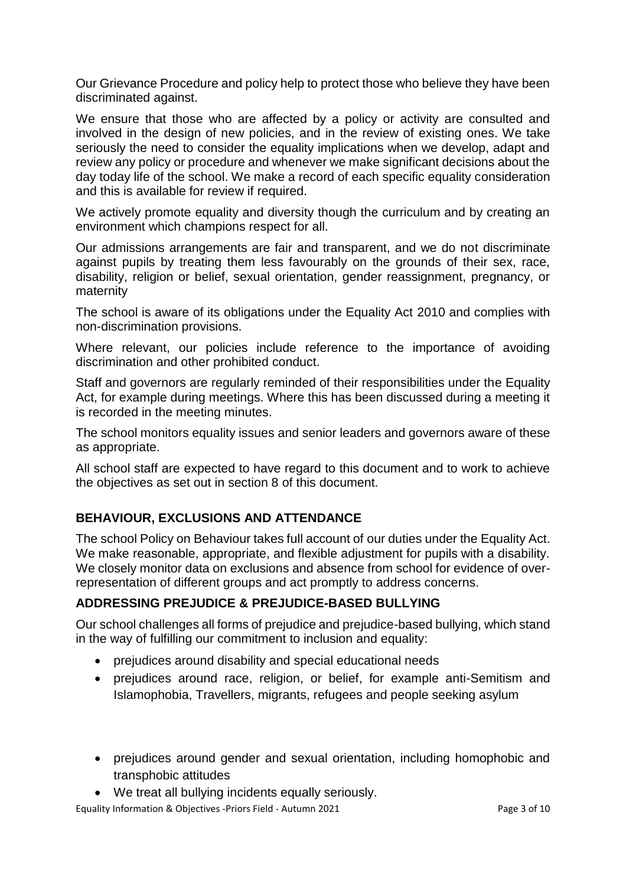Our Grievance Procedure and policy help to protect those who believe they have been discriminated against.

We ensure that those who are affected by a policy or activity are consulted and involved in the design of new policies, and in the review of existing ones. We take seriously the need to consider the equality implications when we develop, adapt and review any policy or procedure and whenever we make significant decisions about the day today life of the school. We make a record of each specific equality consideration and this is available for review if required.

We actively promote equality and diversity though the curriculum and by creating an environment which champions respect for all.

Our admissions arrangements are fair and transparent, and we do not discriminate against pupils by treating them less favourably on the grounds of their sex, race, disability, religion or belief, sexual orientation, gender reassignment, pregnancy, or maternity

The school is aware of its obligations under the Equality Act 2010 and complies with non-discrimination provisions.

Where relevant, our policies include reference to the importance of avoiding discrimination and other prohibited conduct.

Staff and governors are regularly reminded of their responsibilities under the Equality Act, for example during meetings. Where this has been discussed during a meeting it is recorded in the meeting minutes.

The school monitors equality issues and senior leaders and governors aware of these as appropriate.

All school staff are expected to have regard to this document and to work to achieve the objectives as set out in section 8 of this document.

## **BEHAVIOUR, EXCLUSIONS AND ATTENDANCE**

The school Policy on Behaviour takes full account of our duties under the Equality Act. We make reasonable, appropriate, and flexible adjustment for pupils with a disability. We closely monitor data on exclusions and absence from school for evidence of overrepresentation of different groups and act promptly to address concerns.

## **ADDRESSING PREJUDICE & PREJUDICE-BASED BULLYING**

Our school challenges all forms of prejudice and prejudice-based bullying, which stand in the way of fulfilling our commitment to inclusion and equality:

- prejudices around disability and special educational needs
- prejudices around race, religion, or belief, for example anti-Semitism and Islamophobia, Travellers, migrants, refugees and people seeking asylum
- prejudices around gender and sexual orientation, including homophobic and transphobic attitudes
- We treat all bullying incidents equally seriously.

Equality Information & Objectives -Priors Field - Autumn 2021 **Page 3 of 10** Page 3 of 10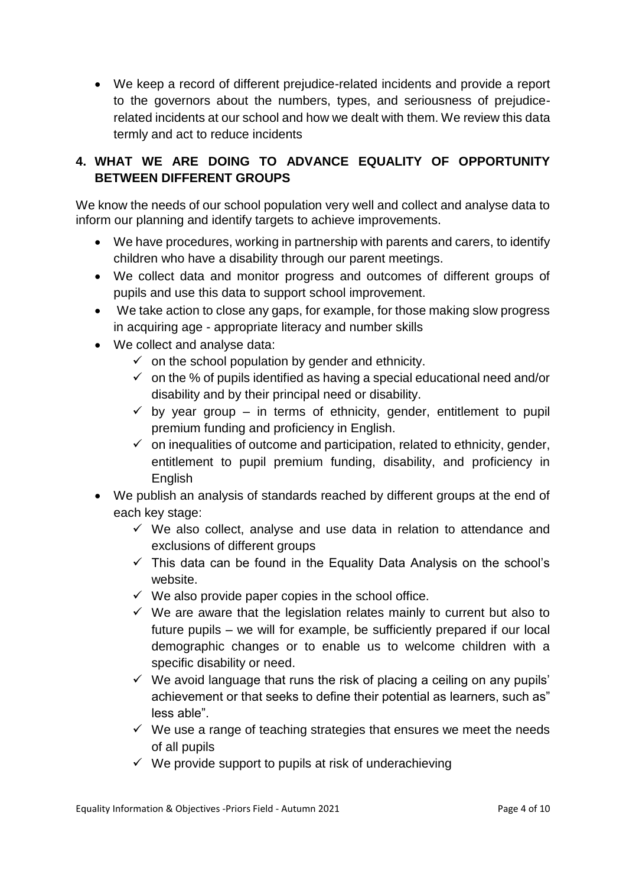We keep a record of different prejudice-related incidents and provide a report to the governors about the numbers, types, and seriousness of prejudicerelated incidents at our school and how we dealt with them. We review this data termly and act to reduce incidents

# **4. WHAT WE ARE DOING TO ADVANCE EQUALITY OF OPPORTUNITY BETWEEN DIFFERENT GROUPS**

We know the needs of our school population very well and collect and analyse data to inform our planning and identify targets to achieve improvements.

- We have procedures, working in partnership with parents and carers, to identify children who have a disability through our parent meetings.
- We collect data and monitor progress and outcomes of different groups of pupils and use this data to support school improvement.
- We take action to close any gaps, for example, for those making slow progress in acquiring age - appropriate literacy and number skills
- We collect and analyse data:
	- $\checkmark$  on the school population by gender and ethnicity.
	- $\checkmark$  on the % of pupils identified as having a special educational need and/or disability and by their principal need or disability.
	- $\checkmark$  by year group in terms of ethnicity, gender, entitlement to pupil premium funding and proficiency in English.
	- $\checkmark$  on inequalities of outcome and participation, related to ethnicity, gender, entitlement to pupil premium funding, disability, and proficiency in English
- We publish an analysis of standards reached by different groups at the end of each key stage:
	- $\checkmark$  We also collect, analyse and use data in relation to attendance and exclusions of different groups
	- $\checkmark$  This data can be found in the Equality Data Analysis on the school's website.
	- $\checkmark$  We also provide paper copies in the school office.
	- $\checkmark$  We are aware that the legislation relates mainly to current but also to future pupils – we will for example, be sufficiently prepared if our local demographic changes or to enable us to welcome children with a specific disability or need.
	- $\checkmark$  We avoid language that runs the risk of placing a ceiling on any pupils' achievement or that seeks to define their potential as learners, such as" less able".
	- $\checkmark$  We use a range of teaching strategies that ensures we meet the needs of all pupils
	- $\checkmark$  We provide support to pupils at risk of underachieving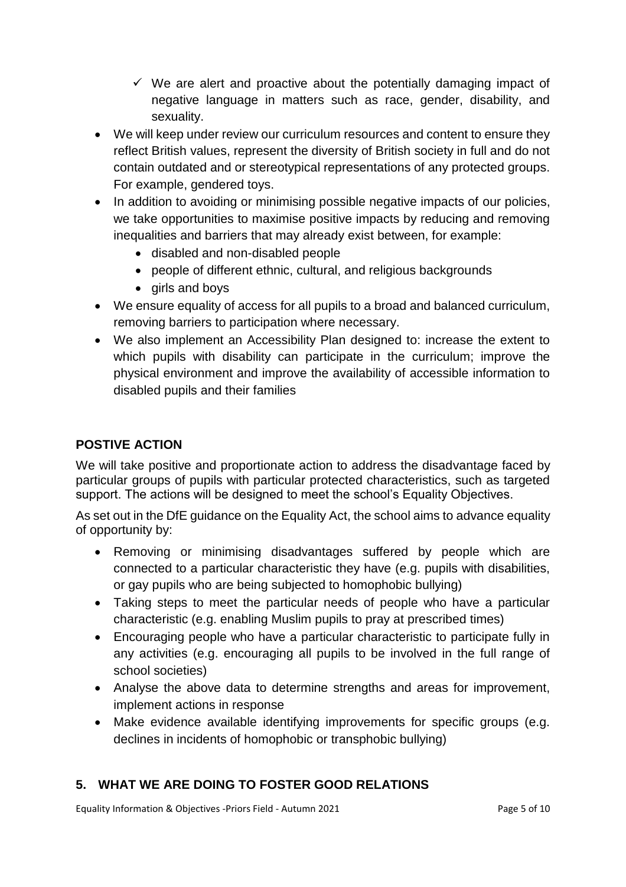- $\checkmark$  We are alert and proactive about the potentially damaging impact of negative language in matters such as race, gender, disability, and sexuality.
- We will keep under review our curriculum resources and content to ensure they reflect British values, represent the diversity of British society in full and do not contain outdated and or stereotypical representations of any protected groups. For example, gendered toys.
- In addition to avoiding or minimising possible negative impacts of our policies, we take opportunities to maximise positive impacts by reducing and removing inequalities and barriers that may already exist between, for example:
	- disabled and non-disabled people
	- people of different ethnic, cultural, and religious backgrounds
	- girls and boys
- We ensure equality of access for all pupils to a broad and balanced curriculum, removing barriers to participation where necessary.
- We also implement an Accessibility Plan designed to: increase the extent to which pupils with disability can participate in the curriculum; improve the physical environment and improve the availability of accessible information to disabled pupils and their families

## **POSTIVE ACTION**

We will take positive and proportionate action to address the disadvantage faced by particular groups of pupils with particular protected characteristics, such as targeted support. The actions will be designed to meet the school's Equality Objectives.

As set out in the DfE guidance on the Equality Act, the school aims to advance equality of opportunity by:

- Removing or minimising disadvantages suffered by people which are connected to a particular characteristic they have (e.g. pupils with disabilities, or gay pupils who are being subjected to homophobic bullying)
- Taking steps to meet the particular needs of people who have a particular characteristic (e.g. enabling Muslim pupils to pray at prescribed times)
- Encouraging people who have a particular characteristic to participate fully in any activities (e.g. encouraging all pupils to be involved in the full range of school societies)
- Analyse the above data to determine strengths and areas for improvement, implement actions in response
- Make evidence available identifying improvements for specific groups (e.g. declines in incidents of homophobic or transphobic bullying)

## **5. WHAT WE ARE DOING TO FOSTER GOOD RELATIONS**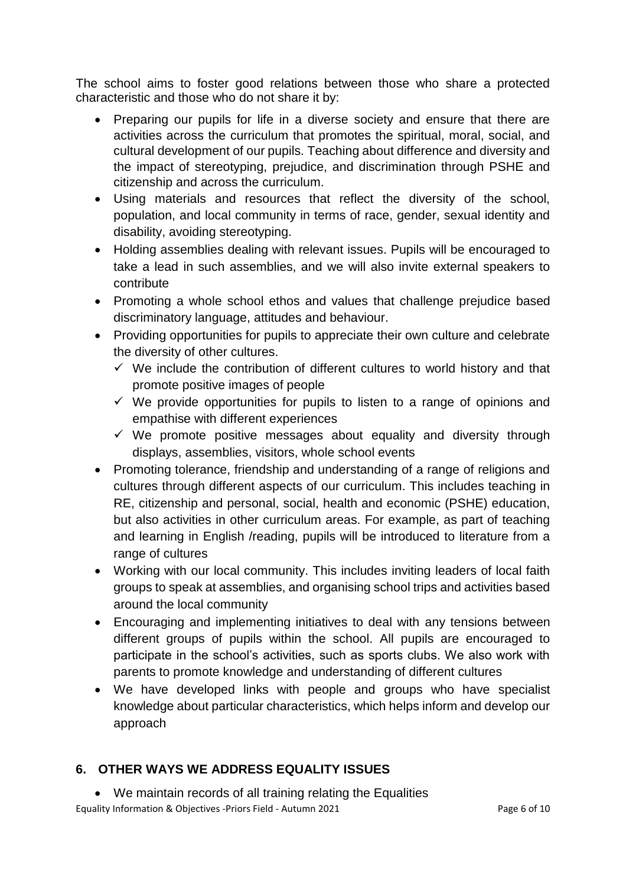The school aims to foster good relations between those who share a protected characteristic and those who do not share it by:

- Preparing our pupils for life in a diverse society and ensure that there are activities across the curriculum that promotes the spiritual, moral, social, and cultural development of our pupils. Teaching about difference and diversity and the impact of stereotyping, prejudice, and discrimination through PSHE and citizenship and across the curriculum.
- Using materials and resources that reflect the diversity of the school, population, and local community in terms of race, gender, sexual identity and disability, avoiding stereotyping.
- Holding assemblies dealing with relevant issues. Pupils will be encouraged to take a lead in such assemblies, and we will also invite external speakers to contribute
- Promoting a whole school ethos and values that challenge prejudice based discriminatory language, attitudes and behaviour.
- Providing opportunities for pupils to appreciate their own culture and celebrate the diversity of other cultures.
	- $\checkmark$  We include the contribution of different cultures to world history and that promote positive images of people
	- $\checkmark$  We provide opportunities for pupils to listen to a range of opinions and empathise with different experiences
	- $\checkmark$  We promote positive messages about equality and diversity through displays, assemblies, visitors, whole school events
- Promoting tolerance, friendship and understanding of a range of religions and cultures through different aspects of our curriculum. This includes teaching in RE, citizenship and personal, social, health and economic (PSHE) education, but also activities in other curriculum areas. For example, as part of teaching and learning in English /reading, pupils will be introduced to literature from a range of cultures
- Working with our local community. This includes inviting leaders of local faith groups to speak at assemblies, and organising school trips and activities based around the local community
- Encouraging and implementing initiatives to deal with any tensions between different groups of pupils within the school. All pupils are encouraged to participate in the school's activities, such as sports clubs. We also work with parents to promote knowledge and understanding of different cultures
- We have developed links with people and groups who have specialist knowledge about particular characteristics, which helps inform and develop our approach

# **6. OTHER WAYS WE ADDRESS EQUALITY ISSUES**

Equality Information & Objectives -Priors Field - Autumn 2021 **Page 6 of 10** Page 6 of 10 We maintain records of all training relating the Equalities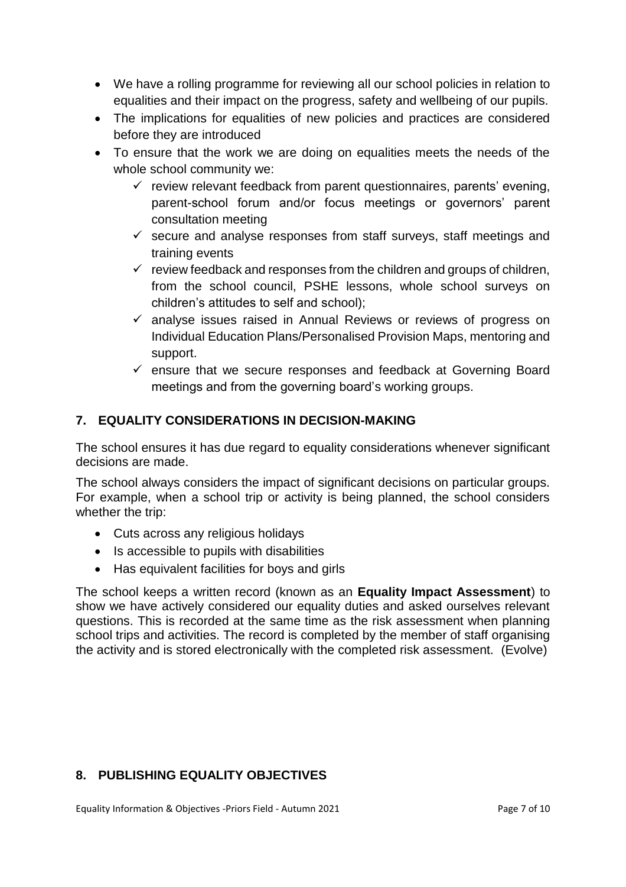- We have a rolling programme for reviewing all our school policies in relation to equalities and their impact on the progress, safety and wellbeing of our pupils.
- The implications for equalities of new policies and practices are considered before they are introduced
- To ensure that the work we are doing on equalities meets the needs of the whole school community we:
	- $\checkmark$  review relevant feedback from parent questionnaires, parents' evening, parent-school forum and/or focus meetings or governors' parent consultation meeting
	- $\checkmark$  secure and analyse responses from staff surveys, staff meetings and training events
	- $\checkmark$  review feedback and responses from the children and groups of children, from the school council, PSHE lessons, whole school surveys on children's attitudes to self and school);
	- $\checkmark$  analyse issues raised in Annual Reviews or reviews of progress on Individual Education Plans/Personalised Provision Maps, mentoring and support.
	- $\checkmark$  ensure that we secure responses and feedback at Governing Board meetings and from the governing board's working groups.

## **7. EQUALITY CONSIDERATIONS IN DECISION-MAKING**

The school ensures it has due regard to equality considerations whenever significant decisions are made.

The school always considers the impact of significant decisions on particular groups. For example, when a school trip or activity is being planned, the school considers whether the trip:

- Cuts across any religious holidays
- Is accessible to pupils with disabilities
- Has equivalent facilities for boys and girls

The school keeps a written record (known as an **Equality Impact Assessment**) to show we have actively considered our equality duties and asked ourselves relevant questions. This is recorded at the same time as the risk assessment when planning school trips and activities. The record is completed by the member of staff organising the activity and is stored electronically with the completed risk assessment. (Evolve)

## **8. PUBLISHING EQUALITY OBJECTIVES**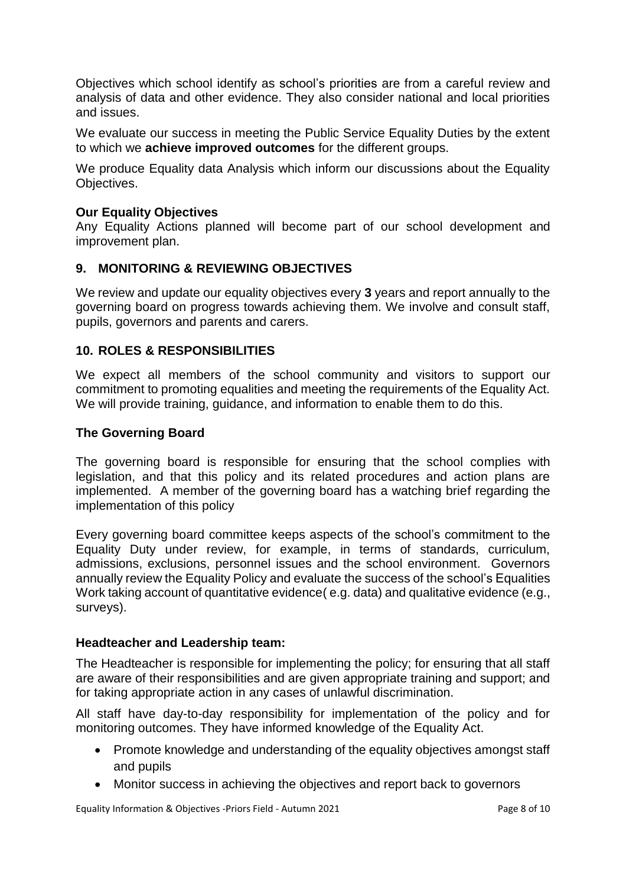Objectives which school identify as school's priorities are from a careful review and analysis of data and other evidence. They also consider national and local priorities and issues.

We evaluate our success in meeting the Public Service Equality Duties by the extent to which we **achieve improved outcomes** for the different groups.

We produce Equality data Analysis which inform our discussions about the Equality Objectives.

## **Our Equality Objectives**

Any Equality Actions planned will become part of our school development and improvement plan.

### **9. MONITORING & REVIEWING OBJECTIVES**

We review and update our equality objectives every **3** years and report annually to the governing board on progress towards achieving them. We involve and consult staff, pupils, governors and parents and carers.

### **10. ROLES & RESPONSIBILITIES**

We expect all members of the school community and visitors to support our commitment to promoting equalities and meeting the requirements of the Equality Act. We will provide training, guidance, and information to enable them to do this.

### **The Governing Board**

The governing board is responsible for ensuring that the school complies with legislation, and that this policy and its related procedures and action plans are implemented. A member of the governing board has a watching brief regarding the implementation of this policy

Every governing board committee keeps aspects of the school's commitment to the Equality Duty under review, for example, in terms of standards, curriculum, admissions, exclusions, personnel issues and the school environment. Governors annually review the Equality Policy and evaluate the success of the school's Equalities Work taking account of quantitative evidence( e.g. data) and qualitative evidence (e.g., surveys).

#### **Headteacher and Leadership team:**

The Headteacher is responsible for implementing the policy; for ensuring that all staff are aware of their responsibilities and are given appropriate training and support; and for taking appropriate action in any cases of unlawful discrimination.

All staff have day-to-day responsibility for implementation of the policy and for monitoring outcomes. They have informed knowledge of the Equality Act.

- Promote knowledge and understanding of the equality objectives amongst staff and pupils
- Monitor success in achieving the objectives and report back to governors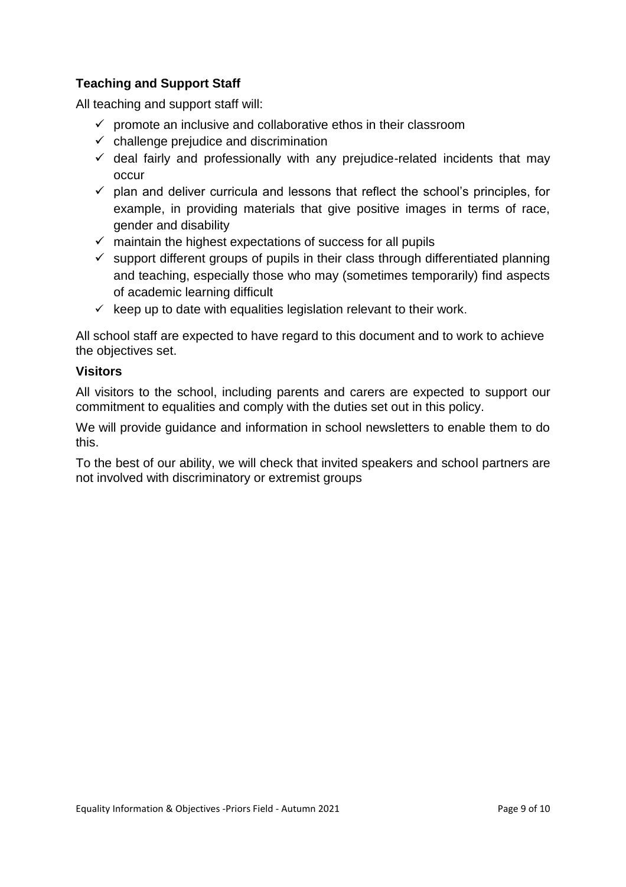## **Teaching and Support Staff**

All teaching and support staff will:

- $\checkmark$  promote an inclusive and collaborative ethos in their classroom
- $\checkmark$  challenge prejudice and discrimination
- $\checkmark$  deal fairly and professionally with any prejudice-related incidents that may occur
- $\checkmark$  plan and deliver curricula and lessons that reflect the school's principles, for example, in providing materials that give positive images in terms of race, gender and disability
- $\checkmark$  maintain the highest expectations of success for all pupils
- $\checkmark$  support different groups of pupils in their class through differentiated planning and teaching, especially those who may (sometimes temporarily) find aspects of academic learning difficult
- $\checkmark$  keep up to date with equalities legislation relevant to their work.

All school staff are expected to have regard to this document and to work to achieve the objectives set.

### **Visitors**

All visitors to the school, including parents and carers are expected to support our commitment to equalities and comply with the duties set out in this policy.

We will provide guidance and information in school newsletters to enable them to do this.

To the best of our ability, we will check that invited speakers and school partners are not involved with discriminatory or extremist groups